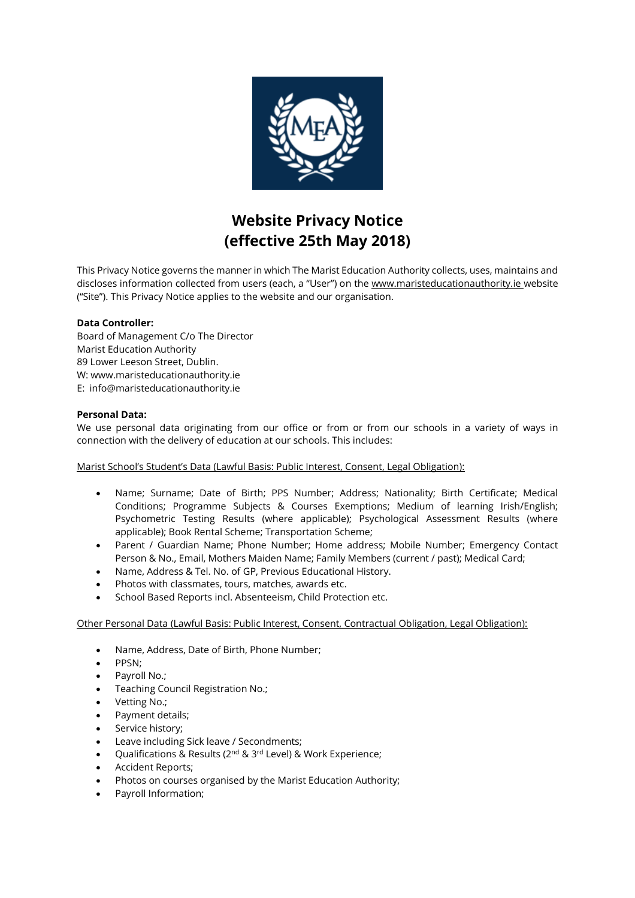

# **Website Privacy Notice (effective 25th May 2018)**

This Privacy Notice governs the manner in which The Marist Education Authority collects, uses, maintains and discloses information collected from users (each, a "User") on the [www.maristeducationauthority.ie](https://www.cbsnewross.ie/) website ("Site"). This Privacy Notice applies to the website and our organisation.

# **Data Controller:**

Board of Management C/o The Director Marist Education Authority 89 Lower Leeson Street, Dublin. W: www.maristeducationauthority.ie E: info@maristeducationauthority.ie

# **Personal Data:**

We use personal data originating from our office or from or from our schools in a variety of ways in connection with the delivery of education at our schools. This includes:

Marist School's Student's Data (Lawful Basis: Public Interest, Consent, Legal Obligation):

- Name; Surname; Date of Birth; PPS Number; Address; Nationality; Birth Certificate; Medical Conditions; Programme Subjects & Courses Exemptions; Medium of learning Irish/English; Psychometric Testing Results (where applicable); Psychological Assessment Results (where applicable); Book Rental Scheme; Transportation Scheme;
- Parent / Guardian Name; Phone Number; Home address; Mobile Number; Emergency Contact Person & No., Email, Mothers Maiden Name; Family Members (current / past); Medical Card;
- Name, Address & Tel. No. of GP, Previous Educational History.
- Photos with classmates, tours, matches, awards etc.
- School Based Reports incl. Absenteeism, Child Protection etc.

Other Personal Data (Lawful Basis: Public Interest, Consent, Contractual Obligation, Legal Obligation):

- Name, Address, Date of Birth, Phone Number;
- PPSN;
- Payroll No.;
- Teaching Council Registration No.;
- Vetting No.;
- Payment details;
- Service history;
- Leave including Sick leave / Secondments;
- Qualifications & Results (2nd & 3rd Level) & Work Experience;
- Accident Reports;
- Photos on courses organised by the Marist Education Authority;
- Payroll Information;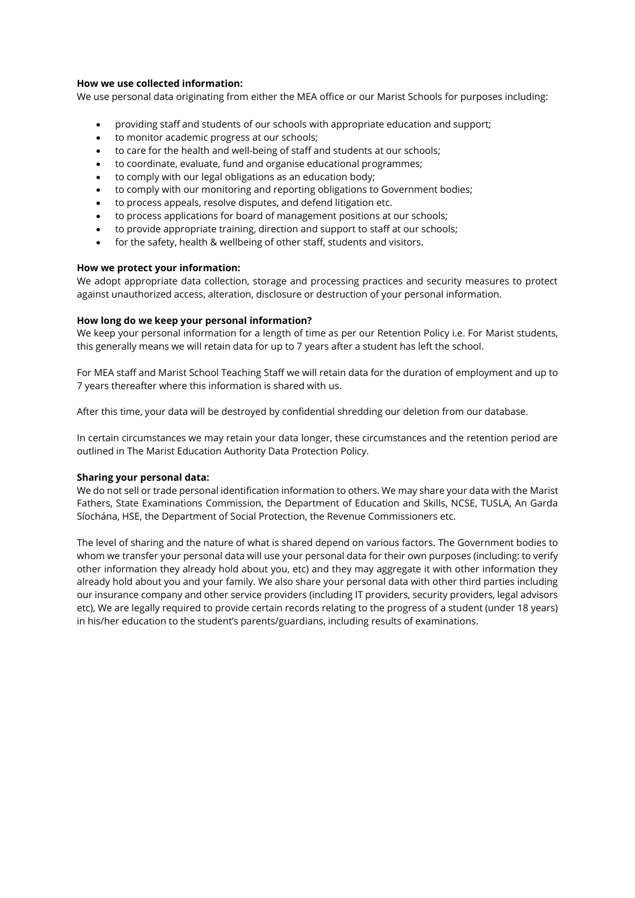## **How we use collected information:**

We use personal data originating from either the MEA office or our Marist Schools for purposes including:

- providing staff and students of our schools with appropriate education and support;
- to monitor academic progress at our schools;
- to care for the health and well-being of staff and students at our schools;
- to coordinate, evaluate, fund and organise educational programmes;
- to comply with our legal obligations as an education body;
- to comply with our monitoring and reporting obligations to Government bodies;
- to process appeals, resolve disputes, and defend litigation etc.
- to process applications for board of management positions at our schools;
- to provide appropriate training, direction and support to staff at our schools;
- for the safety, health & wellbeing of other staff, students and visitors.

## **How we protect your information:**

We adopt appropriate data collection, storage and processing practices and security measures to protect against unauthorized access, alteration, disclosure or destruction of your personal information.

# **How long do we keep your personal information?**

We keep your personal information for a length of time as per our Retention Policy i.e. For Marist students, this generally means we will retain data for up to 7 years after a student has left the school.

For MEA staff and Marist School Teaching Staff we will retain data for the duration of employment and up to 7 years thereafter where this information is shared with us.

After this time, your data will be destroyed by confidential shredding our deletion from our database.

In certain circumstances we may retain your data longer, these circumstances and the retention period are outlined in The Marist Education Authority Data Protection Policy.

# **Sharing your personal data:**

We do not sell or trade personal identification information to others. We may share your data with the Marist Fathers, State Examinations Commission, the Department of Education and Skills, NCSE, TUSLA, An Garda Síochána, HSE, the Department of Social Protection, the Revenue Commissioners etc.

The level of sharing and the nature of what is shared depend on various factors. The Government bodies to whom we transfer your personal data will use your personal data for their own purposes (including: to verify other information they already hold about you, etc) and they may aggregate it with other information they already hold about you and your family. We also share your personal data with other third parties including our insurance company and other service providers (including IT providers, security providers, legal advisors etc), We are legally required to provide certain records relating to the progress of a student (under 18 years) in his/her education to the student's parents/guardians, including results of examinations.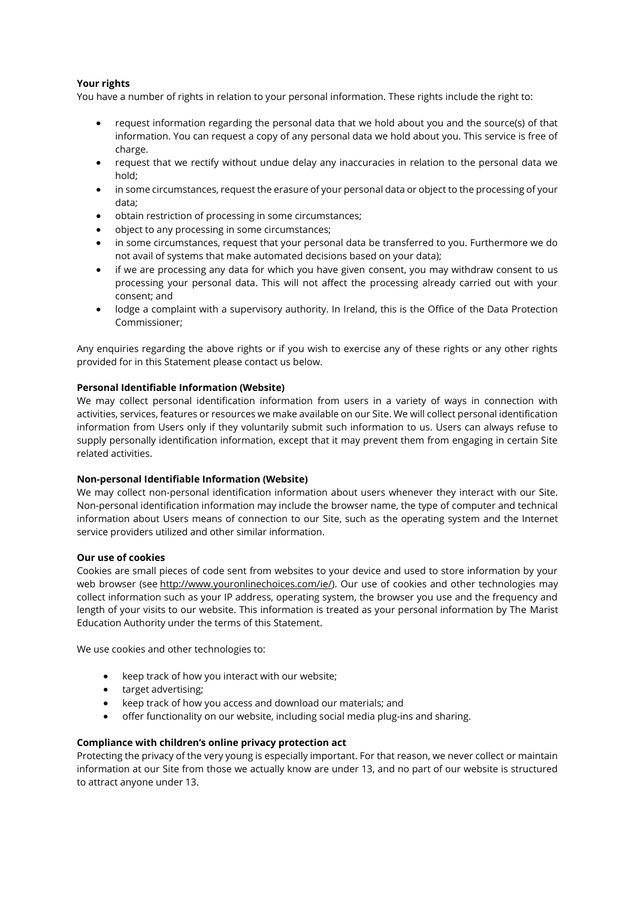# **Your rights**

You have a number of rights in relation to your personal information. These rights include the right to:

- request information regarding the personal data that we hold about you and the source(s) of that information. You can request a copy of any personal data we hold about you. This service is free of charge.
- request that we rectify without undue delay any inaccuracies in relation to the personal data we hold;
- in some circumstances, request the erasure of your personal data or object to the processing of your data;
- obtain restriction of processing in some circumstances;
- object to any processing in some circumstances;
- in some circumstances, request that your personal data be transferred to you. Furthermore we do not avail of systems that make automated decisions based on your data);
- if we are processing any data for which you have given consent, you may withdraw consent to us processing your personal data. This will not affect the processing already carried out with your consent; and
- lodge a complaint with a supervisory authority. In Ireland, this is the Office of the Data Protection Commissioner;

Any enquiries regarding the above rights or if you wish to exercise any of these rights or any other rights provided for in this Statement please contact us below.

# **Personal Identifiable Information (Website)**

We may collect personal identification information from users in a variety of ways in connection with activities, services, features or resources we make available on our Site. We will collect personal identification information from Users only if they voluntarily submit such information to us. Users can always refuse to supply personally identification information, except that it may prevent them from engaging in certain Site related activities.

## **Non-personal Identifiable Information (Website)**

We may collect non-personal identification information about users whenever they interact with our Site. Non-personal identification information may include the browser name, the type of computer and technical information about Users means of connection to our Site, such as the operating system and the Internet service providers utilized and other similar information.

## **Our use of cookies**

Cookies are small pieces of code sent from websites to your device and used to store information by your web browser (see http://www.youronlinechoices.com/ie/). Our use of cookies and other technologies may collect information such as your IP address, operating system, the browser you use and the frequency and length of your visits to our website. This information is treated as your personal information by The Marist Education Authority under the terms of this Statement.

We use cookies and other technologies to:

- keep track of how you interact with our website;
- target advertising;
- keep track of how you access and download our materials; and
- offer functionality on our website, including social media plug-ins and sharing.

## **Compliance with children's online privacy protection act**

Protecting the privacy of the very young is especially important. For that reason, we never collect or maintain information at our Site from those we actually know are under 13, and no part of our website is structured to attract anyone under 13.